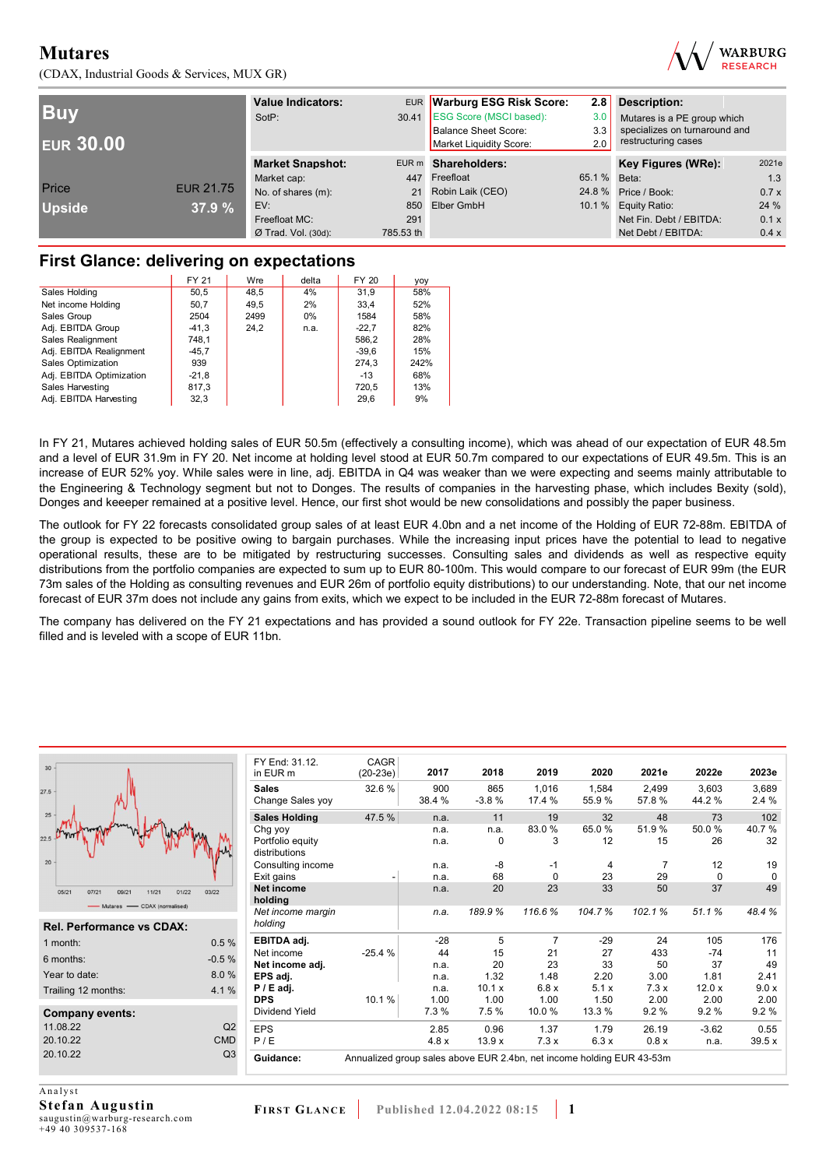(CDAX, Industrial Goods & Services, MUX GR)



| <b>Buy</b><br><b>EUR 30.00</b> |                  | <b>Value Indicators:</b><br>SotP: |           | EUR Warburg ESG Risk Score:<br>30.41 ESG Score (MSCI based):<br><b>Balance Sheet Score:</b><br>Market Liquidity Score: | 2.8<br>3.0<br>3.3<br>2.0 | <b>Description:</b><br>Mutares is a PE group which<br>specializes on turnaround and<br>restructuring cases |       |
|--------------------------------|------------------|-----------------------------------|-----------|------------------------------------------------------------------------------------------------------------------------|--------------------------|------------------------------------------------------------------------------------------------------------|-------|
|                                |                  | <b>Market Snapshot:</b>           |           | EUR m Shareholders:                                                                                                    |                          | Key Figures (WRe):                                                                                         | 2021e |
|                                |                  | Market cap:                       |           | 447 Freefloat                                                                                                          | 65.1 % Beta:             |                                                                                                            | 1.3   |
| Price                          | <b>EUR 21.75</b> | No. of shares (m):                |           | 21 Robin Laik (CEO)                                                                                                    |                          | 24.8 % Price / Book:                                                                                       | 0.7x  |
| <b>Upside</b>                  | 37.9 %           | EV:                               |           | 850 Elber GmbH                                                                                                         |                          | 10.1 % Equity Ratio:                                                                                       | 24 %  |
|                                |                  | Freefloat MC:                     | 291       |                                                                                                                        |                          | Net Fin. Debt / EBITDA:                                                                                    | 0.1 x |
|                                |                  | $Ø$ Trad. Vol. (30d):             | 785.53 th |                                                                                                                        |                          | Net Debt / EBITDA:                                                                                         | 0.4 x |

## **First Glance: delivering on expectations**

|                          | FY 21   | Wre  | delta | FY 20   | yoy  |
|--------------------------|---------|------|-------|---------|------|
| Sales Holding            | 50,5    | 48,5 | 4%    | 31.9    | 58%  |
| Net income Holding       | 50.7    | 49.5 | 2%    | 33.4    | 52%  |
| Sales Group              | 2504    | 2499 | $0\%$ | 1584    | 58%  |
| Adj. EBITDA Group        | $-41,3$ | 24,2 | n.a.  | $-22.7$ | 82%  |
| Sales Realignment        | 748.1   |      |       | 586.2   | 28%  |
| Adj. EBITDA Realignment  | $-45.7$ |      |       | $-39.6$ | 15%  |
| Sales Optimization       | 939     |      |       | 274.3   | 242% |
| Adj. EBITDA Optimization | $-21,8$ |      |       | $-13$   | 68%  |
| Sales Harvesting         | 817.3   |      |       | 720.5   | 13%  |
| Adj. EBITDA Harvesting   | 32,3    |      |       | 29,6    | 9%   |

In FY 21, Mutares achieved holding sales of EUR 50.5m (effectively a consulting income), which was ahead of our expectation of EUR 48.5m and a level of EUR 31.9m in FY 20. Net income at holding level stood at EUR 50.7m compared to our expectations of EUR 49.5m. This is an increase of EUR 52% yoy. While sales were in line, adj. EBITDA in Q4 was weaker than we were expecting and seems mainly attributable to the Engineering & Technology segment but not to Donges. The results of companies in the harvesting phase, which includes Bexity (sold), Donges and keeeper remained at a positive level. Hence, our first shot would be new consolidations and possibly the paper business.

The outlook for FY 22 forecasts consolidated group sales of at least EUR 4.0bn and a net income of the Holding of EUR 72-88m. EBITDA of the group is expected to be positive owing to bargain purchases. While the increasing input prices have the potential to lead to negative operational results, these are to be mitigated by restructuring successes. Consulting sales and dividends as well as respective equity distributions from the portfolio companies are expected to sum up to EUR 80-100m. This would compare to our forecast of EUR 99m (the EUR 73m sales of the Holding as consulting revenues and EUR 26m of portfolio equity distributions) to our understanding. Note, that our net income forecast of EUR 37m does not include any gains from exits, which we expect to be included in the EUR 72-88m forecast of Mutares.

The company has delivered on the FY 21 expectations and has provided a sound outlook for FY 22e. Transaction pipeline seems to be well filled and is leveled with a scope of EUR 11bn.

| 30                               |                | FY End: 31.12.<br>in EUR m        | CAGR<br>$(20-23e)$                                                    | 2017          | 2018           | 2019            | 2020           | 2021e          | 2022e          | 2023e          |
|----------------------------------|----------------|-----------------------------------|-----------------------------------------------------------------------|---------------|----------------|-----------------|----------------|----------------|----------------|----------------|
| 7.5                              |                | <b>Sales</b><br>Change Sales yoy  | 32.6%                                                                 | 900<br>38.4 % | 865<br>$-3.8%$ | 1,016<br>17.4 % | 1.584<br>55.9% | 2,499<br>57.8% | 3,603<br>44.2% | 3,689<br>2.4 % |
| 25                               |                | <b>Sales Holding</b>              | 47.5 %                                                                | n.a.          | 11             | 19              | 32             | 48             | 73             | 102            |
|                                  |                | Chg yoy                           |                                                                       | n.a.          | n.a.           | 83.0%           | 65.0%          | 51.9%          | 50.0%          | 40.7%          |
|                                  |                | Portfolio equity<br>distributions |                                                                       | n.a.          | 0              | 3               | 12             | 15             | 26             | 32             |
| 20 <sup>°</sup>                  |                | Consulting income                 |                                                                       | n.a.          | $-8$           | -1              | 4              |                | 12             | 19             |
|                                  |                | Exit gains                        |                                                                       | n.a.          | 68             | $\Omega$        | 23             | 29             | $\Omega$       | $\Omega$       |
| 05/21<br>11/21<br>07/21<br>09/21 | 03/22<br>01/22 | <b>Net income</b><br>holding      |                                                                       | n.a.          | 20             | 23              | 33             | 50             | 37             | 49             |
| - Mutares - CDAX (normalised)    |                | Net income margin                 |                                                                       | n.a.          | 189.9%         | 116.6%          | 104.7%         | 102.1%         | 51.1%          | 48.4%          |
| <b>Rel. Performance vs CDAX:</b> |                | holding                           |                                                                       |               |                |                 |                |                |                |                |
| 1 month:                         | 0.5%           | EBITDA adj.                       |                                                                       | $-28$         | 5              | 7               | $-29$          | 24             | 105            | 176            |
| 6 months:                        | $-0.5%$        | Net income                        | $-25.4%$                                                              | 44            | 15             | 21              | 27             | 433            | $-74$          | 11             |
|                                  |                | Net income adj.                   |                                                                       | n.a.          | 20             | 23              | 33             | 50             | 37             | 49             |
| Year to date:                    | 8.0%           | EPS adj.                          |                                                                       | n.a.          | 1.32           | 1.48            | 2.20           | 3.00           | 1.81           | 2.41           |
| Trailing 12 months:              | 4.1%           | $P / E$ adj.                      |                                                                       | n.a.          | 10.1 x         | 6.8x            | 5.1x           | 7.3x           | 12.0x          | 9.0 x          |
|                                  |                | <b>DPS</b>                        | 10.1%                                                                 | 1.00          | 1.00           | 1.00            | 1.50           | 2.00           | 2.00           | 2.00           |
| <b>Company events:</b>           |                | <b>Dividend Yield</b>             |                                                                       | 7.3%          | 7.5 %          | 10.0%           | 13.3 %         | 9.2%           | 9.2%           | 9.2%           |
| 11.08.22                         | Q <sub>2</sub> | <b>EPS</b>                        |                                                                       | 2.85          | 0.96           | 1.37            | 1.79           | 26.19          | $-3.62$        | 0.55           |
| 20.10.22                         | <b>CMD</b>     | P/E                               |                                                                       | 4.8x          | 13.9x          | 7.3x            | 6.3x           | 0.8x           | n.a.           | 39.5x          |
| 20.10.22                         | Q <sub>3</sub> | Guidance:                         | Annualized group sales above EUR 2.4bn, net income holding EUR 43-53m |               |                |                 |                |                |                |                |

Analyst **Stefan Augustin**  saugustin@warburg-research.com +49 40 309537-168

 $27$ 

 $\overline{22}$  $\overline{2}$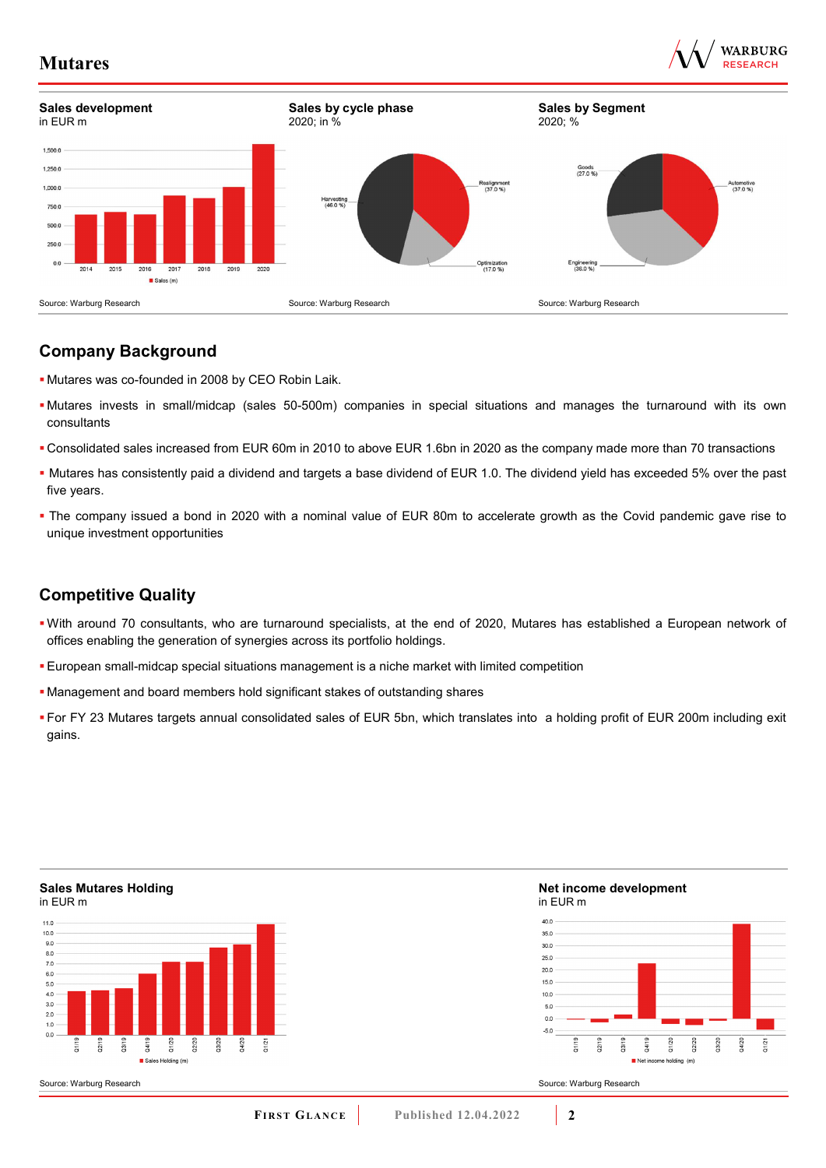



## **Company Background**

- Mutares was co-founded in 2008 by CEO Robin Laik.
- Mutares invests in small/midcap (sales 50-500m) companies in special situations and manages the turnaround with its own consultants
- Consolidated sales increased from EUR 60m in 2010 to above EUR 1.6bn in 2020 as the company made more than 70 transactions
- Mutares has consistently paid a dividend and targets a base dividend of EUR 1.0. The dividend yield has exceeded 5% over the past five years.
- The company issued a bond in 2020 with a nominal value of EUR 80m to accelerate growth as the Covid pandemic gave rise to unique investment opportunities

## **Competitive Quality**

- With around 70 consultants, who are turnaround specialists, at the end of 2020, Mutares has established a European network of offices enabling the generation of synergies across its portfolio holdings.
- European small-midcap special situations management is a niche market with limited competition
- Management and board members hold significant stakes of outstanding shares
- For FY 23 Mutares targets annual consolidated sales of EUR 5bn, which translates into a holding profit of EUR 200m including exit gains.

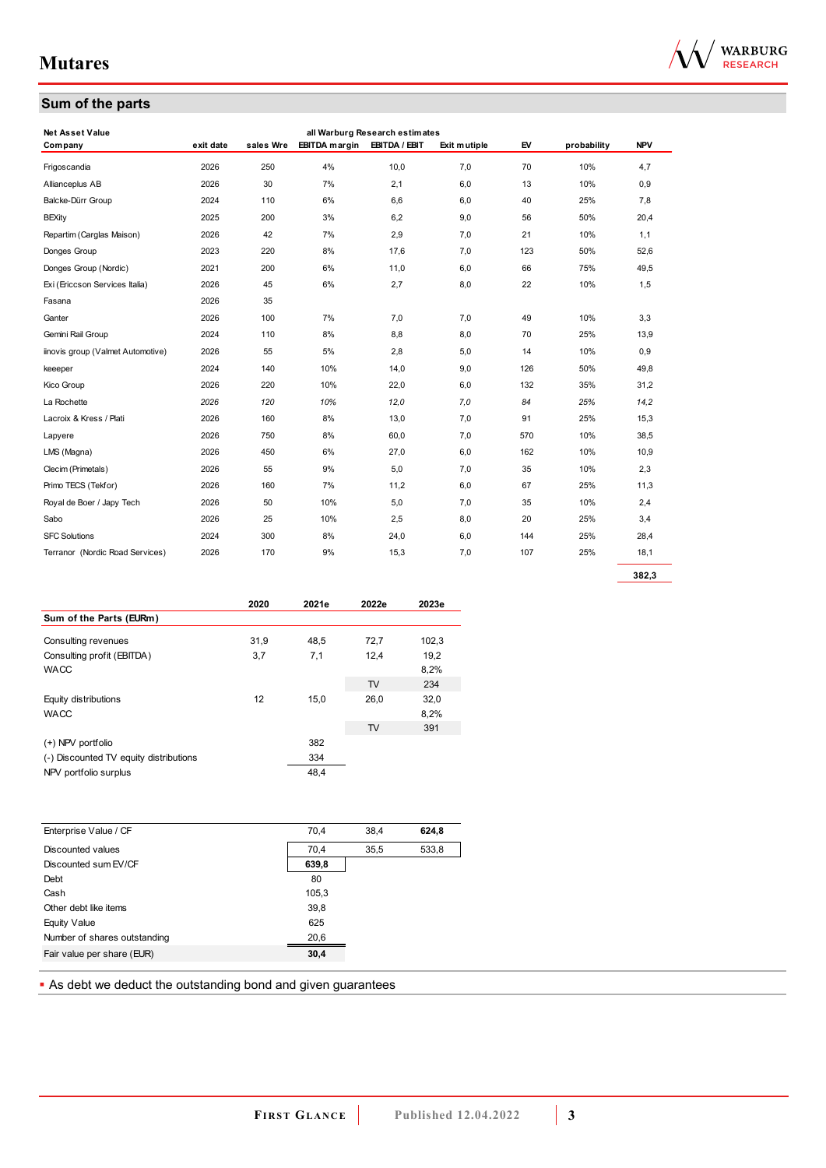



| <b>Net Asset Value</b>            |           |           |                      |               |              |     |             |            |
|-----------------------------------|-----------|-----------|----------------------|---------------|--------------|-----|-------------|------------|
| Com pany                          | exit date | sales Wre | <b>EBITDA</b> margin | EBITDA / EBIT | Exit mutiple | EV  | probability | <b>NPV</b> |
| Frigoscandia                      | 2026      | 250       | 4%                   | 10,0          | 7.0          | 70  | 10%         | 4,7        |
| Allianceplus AB                   | 2026      | 30        | 7%                   | 2,1           | 6,0          | 13  | 10%         | 0,9        |
| Balcke-Dürr Group                 | 2024      | 110       | 6%                   | 6,6           | 6,0          | 40  | 25%         | 7,8        |
| <b>BEXity</b>                     | 2025      | 200       | 3%                   | 6,2           | 9,0          | 56  | 50%         | 20,4       |
| Repartim (Carglas Maison)         | 2026      | 42        | 7%                   | 2,9           | 7,0          | 21  | 10%         | 1,1        |
| Donges Group                      | 2023      | 220       | 8%                   | 17,6          | 7,0          | 123 | 50%         | 52,6       |
| Donges Group (Nordic)             | 2021      | 200       | 6%                   | 11,0          | 6,0          | 66  | 75%         | 49,5       |
| Exi (Ericcson Services Italia)    | 2026      | 45        | 6%                   | 2,7           | 8,0          | 22  | 10%         | 1,5        |
| Fasana                            | 2026      | 35        |                      |               |              |     |             |            |
| Ganter                            | 2026      | 100       | 7%                   | 7,0           | 7,0          | 49  | 10%         | 3,3        |
| Gemini Rail Group                 | 2024      | 110       | 8%                   | 8,8           | 8,0          | 70  | 25%         | 13,9       |
| iinovis group (Valmet Automotive) | 2026      | 55        | 5%                   | 2,8           | 5,0          | 14  | 10%         | 0,9        |
| keeeper                           | 2024      | 140       | 10%                  | 14,0          | 9,0          | 126 | 50%         | 49,8       |
| Kico Group                        | 2026      | 220       | 10%                  | 22,0          | 6,0          | 132 | 35%         | 31,2       |
| La Rochette                       | 2026      | 120       | 10%                  | 12,0          | 7,0          | 84  | 25%         | 14,2       |
| Lacroix & Kress / Plati           | 2026      | 160       | 8%                   | 13,0          | 7,0          | 91  | 25%         | 15,3       |
| Lapyere                           | 2026      | 750       | 8%                   | 60,0          | 7,0          | 570 | 10%         | 38,5       |
| LMS (Magna)                       | 2026      | 450       | 6%                   | 27,0          | 6,0          | 162 | 10%         | 10,9       |
| Clecim (Primetals)                | 2026      | 55        | 9%                   | 5,0           | 7,0          | 35  | 10%         | 2,3        |
| Primo TECS (Tekfor)               | 2026      | 160       | 7%                   | 11,2          | 6,0          | 67  | 25%         | 11,3       |
| Royal de Boer / Japy Tech         | 2026      | 50        | 10%                  | 5,0           | 7,0          | 35  | 10%         | 2,4        |
| Sabo                              | 2026      | 25        | 10%                  | 2,5           | 8,0          | 20  | 25%         | 3,4        |
| <b>SFC Solutions</b>              | 2024      | 300       | 8%                   | 24,0          | 6,0          | 144 | 25%         | 28,4       |
| Terranor (Nordic Road Services)   | 2026      | 170       | 9%                   | 15.3          | 7.0          | 107 | 25%         | 18.1       |

|                                        | 2020 | 2021e | 2022e | 2023e |
|----------------------------------------|------|-------|-------|-------|
| Sum of the Parts (EURm)                |      |       |       |       |
| Consulting revenues                    | 31.9 | 48,5  | 72,7  | 102,3 |
| Consulting profit (EBITDA)             | 3,7  | 7,1   | 12,4  | 19,2  |
| <b>WACC</b>                            |      |       |       | 8,2%  |
|                                        |      |       | TV    | 234   |
| Equity distributions                   | 12   | 15,0  | 26,0  | 32,0  |
| <b>WACC</b>                            |      |       |       | 8,2%  |
|                                        |      |       | TV    | 391   |
| (+) NPV portfolio                      |      | 382   |       |       |
| (-) Discounted TV equity distributions |      | 334   |       |       |
| NPV portfolio surplus                  |      | 48.4  |       |       |

| Enterprise Value / CF        | 70.4  | 38.4 | 624,8 |
|------------------------------|-------|------|-------|
| Discounted values            | 70.4  | 35.5 | 533,8 |
| Discounted sum EV/CF         | 639,8 |      |       |
| Debt                         | 80    |      |       |
| Cash                         | 105,3 |      |       |
| Other debt like items        | 39,8  |      |       |
| Equity Value                 | 625   |      |       |
| Number of shares outstanding | 20,6  |      |       |
| Fair value per share (EUR)   | 30,4  |      |       |

**As debt we deduct the outstanding bond and given guarantees**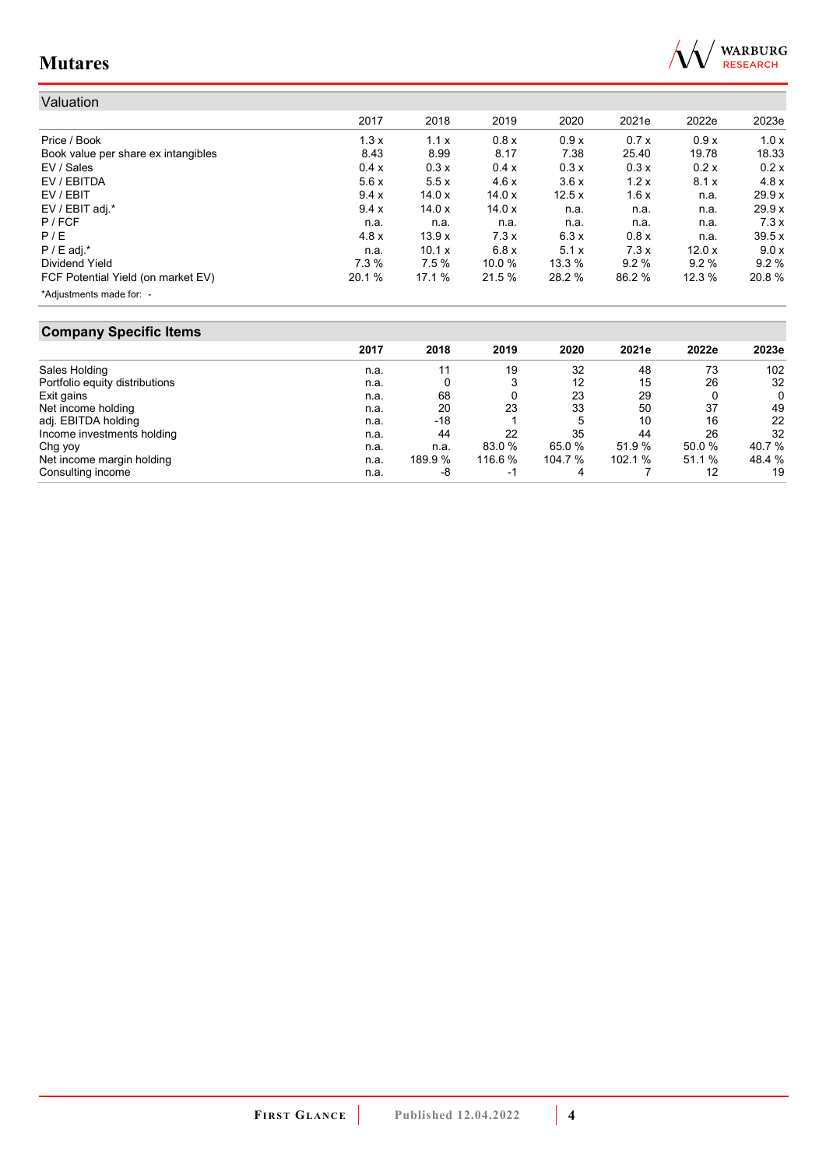

| Valuation                           |        |               |        |        |        |       |        |
|-------------------------------------|--------|---------------|--------|--------|--------|-------|--------|
|                                     | 2017   | 2018          | 2019   | 2020   | 2021e  | 2022e | 2023e  |
| Price / Book                        | 1.3x   | 1.1x          | 0.8x   | 0.9x   | 0.7x   | 0.9x  | 1.0x   |
| Book value per share ex intangibles | 8.43   | 8.99          | 8.17   | 7.38   | 25.40  | 19.78 | 18.33  |
| EV / Sales                          | 0.4 x  | 0.3x          | 0.4 x  | 0.3x   | 0.3x   | 0.2x  | 0.2x   |
| EV / EBITDA                         | 5.6x   | 5.5x          | 4.6x   | 3.6x   | 1.2x   | 8.1x  | 4.8x   |
| EV / EBIT                           | 9.4x   | 14.0x         | 14.0x  | 12.5x  | 1.6x   | n.a.  | 29.9x  |
| EV / EBIT adj.*                     | 9.4 x  | 14.0x         | 14.0x  | n.a.   | n.a.   | n.a.  | 29.9 x |
| $P$ / FCF                           | n.a.   | n.a.          | n.a.   | n.a.   | n.a.   | n.a.  | 7.3x   |
| P/E                                 | 4.8x   | 13.9x         | 7.3x   | 6.3x   | 0.8x   | n.a.  | 39.5x  |
| $P / E$ adj.*                       | n.a.   | 10.1 $\times$ | 6.8x   | 5.1x   | 7.3x   | 12.0x | 9.0x   |
| Dividend Yield                      | 7.3%   | 7.5%          | 10.0 % | 13.3 % | 9.2%   | 9.2%  | 9.2%   |
| FCF Potential Yield (on market EV)  | 20.1 % | 17.1 %        | 21.5 % | 28.2 % | 86.2 % | 12.3% | 20.8 % |
| *Adjustments made for: -            |        |               |        |        |        |       |        |

## **Company Specific Items**

|                                | 2017 | 2018    | 2019    | 2020   | 2021e   | 2022e  | 2023e  |
|--------------------------------|------|---------|---------|--------|---------|--------|--------|
| Sales Holding                  | n.a. |         | 19      | 32     | 48      | 73     | 102    |
| Portfolio equity distributions | n.a. |         |         | 12     | 15      | 26     | 32     |
| Exit gains                     | n.a. | 68      |         | 23     | 29      |        | 0      |
| Net income holding             | n.a. | 20      | 23      | 33     | 50      | 37     | 49     |
| adj. EBITDA holding            | n.a. | $-18$   |         | 5      | 10      | 16     | 22     |
| Income investments holding     | n.a. | 44      | 22      | 35     | 44      | 26     | 32     |
| Chg yoy                        | n.a. | n.a.    | 83.0 %  | 65.0 % | 51.9 %  | 50.0 % | 40.7 % |
| Net income margin holding      | n.a. | 189.9 % | 116.6 % | 104.7% | 102.1 % | 51.1 % | 48.4 % |
| Consulting income              | n.a. | -8      | -1      | 4      |         | 12     | 19     |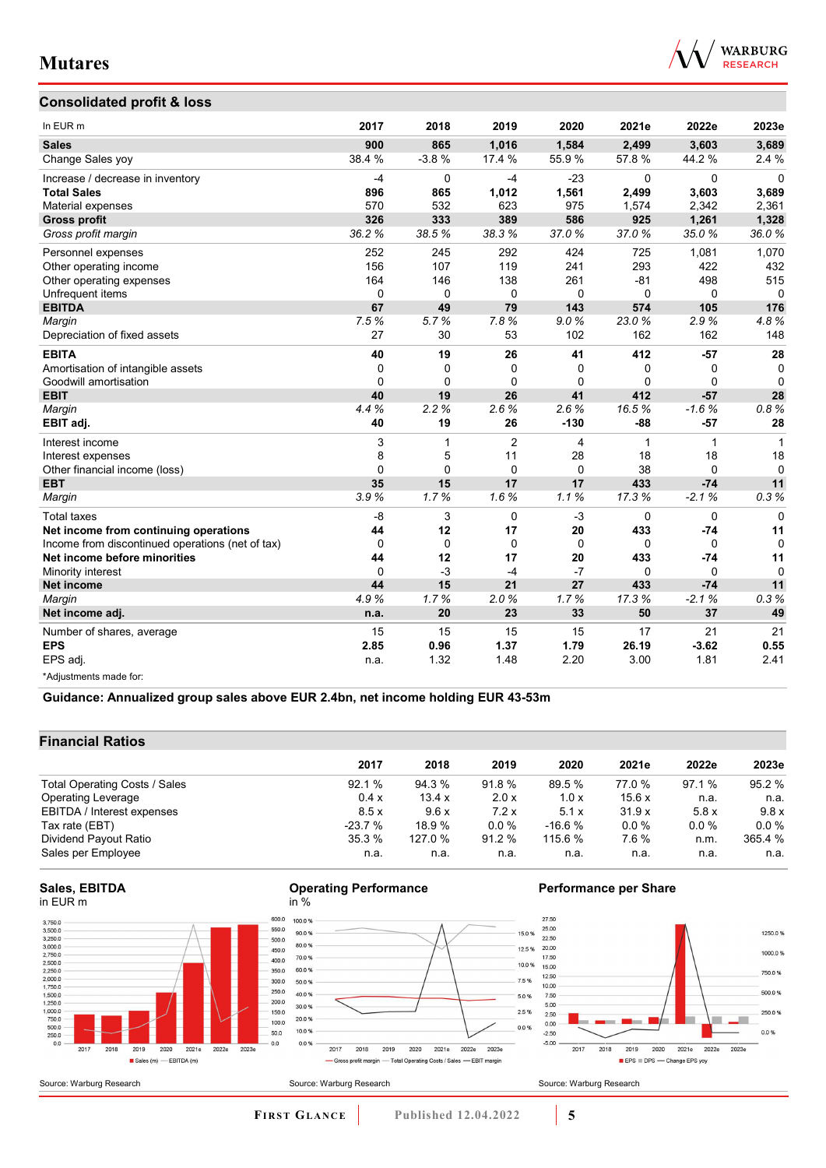

## **Consolidated profit & loss**

| In EUR m                                         | 2017        | 2018        | 2019           | 2020         | 2021e       | 2022e        | 2023e        |
|--------------------------------------------------|-------------|-------------|----------------|--------------|-------------|--------------|--------------|
| <b>Sales</b>                                     | 900         | 865         | 1,016          | 1,584        | 2,499       | 3,603        | 3,689        |
| Change Sales yoy                                 | 38.4 %      | $-3.8%$     | 17.4 %         | 55.9%        | 57.8%       | 44.2%        | 2.4%         |
| Increase / decrease in inventory                 | $-4$        | 0           | $-4$           | $-23$        | $\Omega$    | $\Omega$     | $\Omega$     |
| <b>Total Sales</b>                               | 896         | 865         | 1,012          | 1,561        | 2,499       | 3,603        | 3,689        |
| Material expenses                                | 570         | 532         | 623            | 975          | 1,574       | 2,342        | 2,361        |
| <b>Gross profit</b>                              | 326         | 333         | 389            | 586          | 925         | 1,261        | 1,328        |
| Gross profit margin                              | 36.2%       | 38.5%       | 38.3%          | 37.0%        | 37.0%       | 35.0%        | 36.0%        |
| Personnel expenses                               | 252         | 245         | 292            | 424          | 725         | 1.081        | 1,070        |
| Other operating income                           | 156         | 107         | 119            | 241          | 293         | 422          | 432          |
| Other operating expenses                         | 164         | 146         | 138            | 261          | $-81$       | 498          | 515          |
| Unfrequent items                                 | 0           | $\mathbf 0$ | $\mathbf 0$    | $\mathbf 0$  | $\mathbf 0$ | $\mathbf 0$  | $\Omega$     |
| <b>EBITDA</b>                                    | 67          | 49          | 79             | 143          | 574         | 105          | 176          |
| Margin                                           | 7.5%        | 5.7%        | 7.8%           | 9.0%         | 23.0%       | 2.9%         | 4.8%         |
| Depreciation of fixed assets                     | 27          | 30          | 53             | 102          | 162         | 162          | 148          |
| <b>EBITA</b>                                     | 40          | 19          | 26             | 41           | 412         | $-57$        | 28           |
| Amortisation of intangible assets                | $\mathbf 0$ | $\Omega$    | $\Omega$       | $\mathbf{0}$ | 0           | 0            | $\mathbf 0$  |
| Goodwill amortisation                            | $\Omega$    | $\Omega$    | $\Omega$       | $\mathbf 0$  | $\Omega$    | 0            | $\mathbf 0$  |
| <b>EBIT</b>                                      | 40          | 19          | 26             | 41           | 412         | $-57$        | 28           |
| Margin                                           | 4.4%        | 2.2%        | 2.6%           | 2.6%         | 16.5%       | $-1.6%$      | 0.8%         |
| EBIT adj.                                        | 40          | 19          | 26             | $-130$       | $-88$       | $-57$        | 28           |
| Interest income                                  | 3           | 1           | $\overline{2}$ | 4            | 1           | $\mathbf{1}$ | $\mathbf{1}$ |
| Interest expenses                                | 8           | 5           | 11             | 28           | 18          | 18           | 18           |
| Other financial income (loss)                    | 0           | $\Omega$    | $\mathbf 0$    | $\mathbf 0$  | 38          | $\Omega$     | $\Omega$     |
| <b>EBT</b>                                       | 35          | 15          | 17             | 17           | 433         | $-74$        | 11           |
| Margin                                           | 3.9%        | 1.7%        | 1.6%           | 1.1%         | 17.3%       | $-2.1%$      | 0.3%         |
| <b>Total taxes</b>                               | $-8$        | 3           | $\mathbf 0$    | $-3$         | 0           | $\mathbf 0$  | $\Omega$     |
| Net income from continuing operations            | 44          | 12          | 17             | 20           | 433         | $-74$        | 11           |
| Income from discontinued operations (net of tax) | $\Omega$    | $\Omega$    | $\Omega$       | $\Omega$     | $\Omega$    | $\Omega$     | $\Omega$     |
| Net income before minorities                     | 44          | 12          | 17             | 20           | 433         | $-74$        | 11           |
| Minority interest                                | 0           | $-3$        | $-4$           | $-7$         | $\Omega$    | $\Omega$     | $\Omega$     |
| <b>Net income</b>                                | 44          | 15          | 21             | 27           | 433         | $-74$        | 11           |
| Margin                                           | 4.9%        | 1.7%        | 2.0%           | 1.7%         | 17.3%       | $-2.1%$      | 0.3%         |
| Net income adj.                                  | n.a.        | 20          | 23             | 33           | 50          | 37           | 49           |
| Number of shares, average                        | 15          | 15          | 15             | 15           | 17          | 21           | 21           |
| <b>EPS</b>                                       | 2.85        | 0.96        | 1.37           | 1.79         | 26.19       | $-3.62$      | 0.55         |
| EPS adj.                                         | n.a.        | 1.32        | 1.48           | 2.20         | 3.00        | 1.81         | 2.41         |
| *Adjustments made for:                           |             |             |                |              |             |              |              |

**Guidance: Annualized group sales above EUR 2.4bn, net income holding EUR 43-53m**

## **Financial Ratios**

|                               | 2017     | 2018    | 2019    | 2020     | 2021e  | 2022e   | 2023e   |
|-------------------------------|----------|---------|---------|----------|--------|---------|---------|
| Total Operating Costs / Sales | 92.1%    | 94.3 %  | 91.8 %  | 89.5 %   | 77.0 % | 97.1 %  | 95.2 %  |
| <b>Operating Leverage</b>     | 0.4x     | 13.4 x  | 2.0 x   | 1.0x     | 15.6x  | n.a.    | n.a.    |
| EBITDA / Interest expenses    | 8.5x     | 9.6x    | 7.2x    | 5.1x     | 31.9x  | 5.8x    | 9.8x    |
| Tax rate (EBT)                | $-23.7%$ | 18.9%   | $0.0\%$ | $-16.6%$ | 0.0%   | $0.0\%$ | $0.0\%$ |
| Dividend Payout Ratio         | 35.3%    | 127.0 % | 91.2%   | 115.6 %  | 7.6%   | n.m.    | 365.4 % |
| Sales per Employee            | n.a.     | n.a.    | n.a.    | n.a.     | n.a.   | n.a.    | n.a.    |

#### **Sales, EBITDA** in EUR m



#### **Operating Performance** in %



## **Performance per Share**

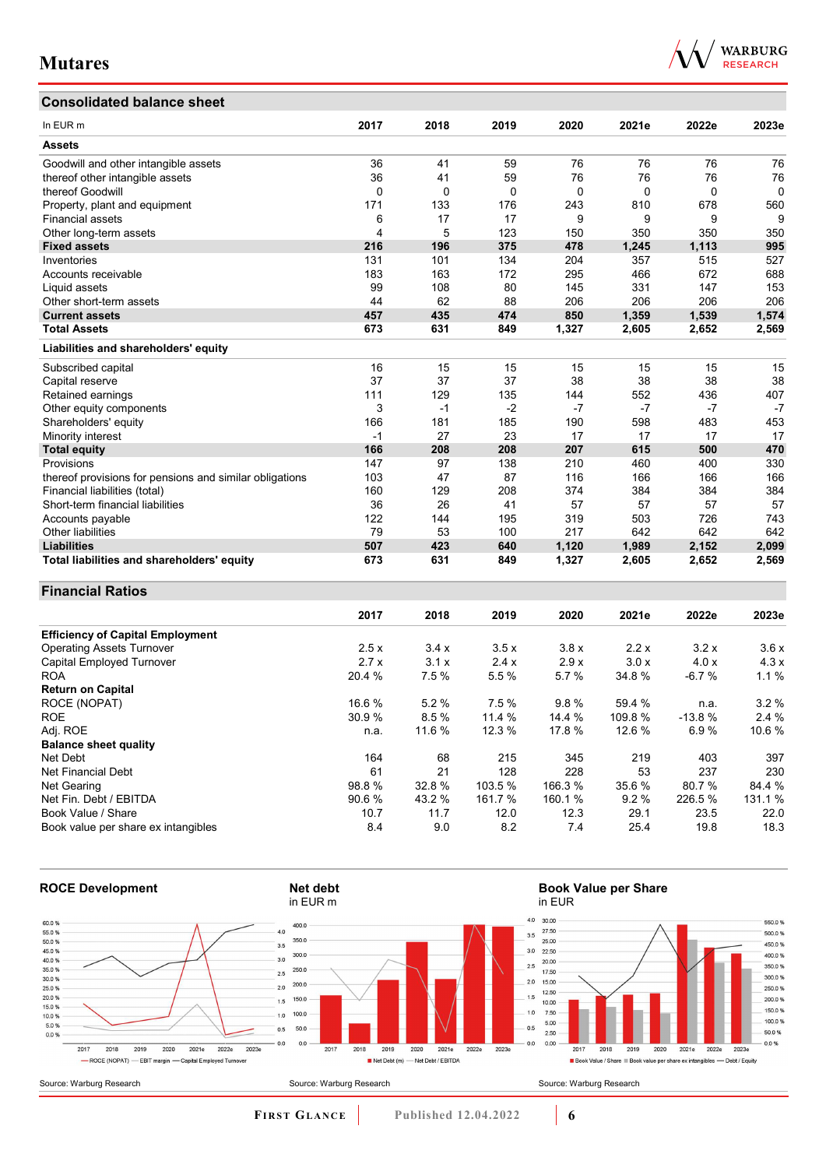## **Consolidated balance sheet**

| In EUR <sub>m</sub>                                     | 2017 | 2018     | 2019 | 2020  | 2021e | 2022e | 2023e    |
|---------------------------------------------------------|------|----------|------|-------|-------|-------|----------|
| <b>Assets</b>                                           |      |          |      |       |       |       |          |
| Goodwill and other intangible assets                    | 36   | 41       | 59   | 76    | 76    | 76    | 76       |
| thereof other intangible assets                         | 36   | 41       | 59   | 76    | 76    | 76    | 76       |
| thereof Goodwill                                        | 0    | $\Omega$ | 0    | 0     | 0     | 0     | $\Omega$ |
| Property, plant and equipment                           | 171  | 133      | 176  | 243   | 810   | 678   | 560      |
| <b>Financial assets</b>                                 | 6    | 17       | 17   | 9     | 9     | 9     | 9        |
| Other long-term assets                                  | 4    | 5        | 123  | 150   | 350   | 350   | 350      |
| <b>Fixed assets</b>                                     | 216  | 196      | 375  | 478   | 1,245 | 1,113 | 995      |
| Inventories                                             | 131  | 101      | 134  | 204   | 357   | 515   | 527      |
| Accounts receivable                                     | 183  | 163      | 172  | 295   | 466   | 672   | 688      |
| Liquid assets                                           | 99   | 108      | 80   | 145   | 331   | 147   | 153      |
| Other short-term assets                                 | 44   | 62       | 88   | 206   | 206   | 206   | 206      |
| <b>Current assets</b>                                   | 457  | 435      | 474  | 850   | 1,359 | 1,539 | 1,574    |
| <b>Total Assets</b>                                     | 673  | 631      | 849  | 1,327 | 2,605 | 2,652 | 2,569    |
| Liabilities and shareholders' equity                    |      |          |      |       |       |       |          |
| Subscribed capital                                      | 16   | 15       | 15   | 15    | 15    | 15    | 15       |
| Capital reserve                                         | 37   | 37       | 37   | 38    | 38    | 38    | 38       |
| Retained earnings                                       | 111  | 129      | 135  | 144   | 552   | 436   | 407      |
| Other equity components                                 | 3    | $-1$     | $-2$ | $-7$  | $-7$  | $-7$  | $-7$     |
| Shareholders' equity                                    | 166  | 181      | 185  | 190   | 598   | 483   | 453      |
| Minority interest                                       | $-1$ | 27       | 23   | 17    | 17    | 17    | 17       |
| <b>Total equity</b>                                     | 166  | 208      | 208  | 207   | 615   | 500   | 470      |
| Provisions                                              | 147  | 97       | 138  | 210   | 460   | 400   | 330      |
| thereof provisions for pensions and similar obligations | 103  | 47       | 87   | 116   | 166   | 166   | 166      |
| Financial liabilities (total)                           | 160  | 129      | 208  | 374   | 384   | 384   | 384      |
| Short-term financial liabilities                        | 36   | 26       | 41   | 57    | 57    | 57    | 57       |
| Accounts payable                                        | 122  | 144      | 195  | 319   | 503   | 726   | 743      |
| Other liabilities                                       | 79   | 53       | 100  | 217   | 642   | 642   | 642      |

## **Financial Ratios**

|                                         | 2017   | 2018   | 2019    | 2020    | 2021e   | 2022e    | 2023e   |
|-----------------------------------------|--------|--------|---------|---------|---------|----------|---------|
| <b>Efficiency of Capital Employment</b> |        |        |         |         |         |          |         |
| <b>Operating Assets Turnover</b>        | 2.5x   | 3.4x   | 3.5x    | 3.8x    | 2.2x    | 3.2x     | 3.6x    |
| Capital Employed Turnover               | 2.7x   | 3.1x   | 2.4x    | 2.9x    | 3.0x    | 4.0x     | 4.3x    |
| <b>ROA</b>                              | 20.4 % | 7.5 %  | 5.5 %   | 5.7 %   | 34.8%   | $-6.7%$  | 1.1%    |
| <b>Return on Capital</b>                |        |        |         |         |         |          |         |
| ROCE (NOPAT)                            | 16.6 % | 5.2%   | 7.5%    | 9.8%    | 59.4 %  | n.a.     | $3.2\%$ |
| <b>ROE</b>                              | 30.9 % | 8.5%   | 11.4 %  | 14.4 %  | 109.8 % | $-13.8%$ | 2.4%    |
| Adj. ROE                                | n.a.   | 11.6 % | 12.3 %  | 17.8 %  | 12.6 %  | 6.9%     | 10.6 %  |
| <b>Balance sheet quality</b>            |        |        |         |         |         |          |         |
| Net Debt                                | 164    | 68     | 215     | 345     | 219     | 403      | 397     |
| Net Financial Debt                      | 61     | 21     | 128     | 228     | 53      | 237      | 230     |
| Net Gearing                             | 98.8%  | 32.8%  | 103.5 % | 166.3%  | 35.6 %  | 80.7%    | 84.4 %  |
| Net Fin. Debt / EBITDA                  | 90.6%  | 43.2 % | 161.7 % | 160.1 % | 9.2%    | 226.5 %  | 131.1 % |
| Book Value / Share                      | 10.7   | 11.7   | 12.0    | 12.3    | 29.1    | 23.5     | 22.0    |
| Book value per share ex intangibles     | 8.4    | 9.0    | 8.2     | 7.4     | 25.4    | 19.8     | 18.3    |

**Liabilities 507 423 640 1,120 1,989 2,152 2,099 Total liabilities and shareholders' equity 673 631 849 1,327 2,605 2,652 2,569**



**FI R S T GL A N C E Published 12.04.2022 6**

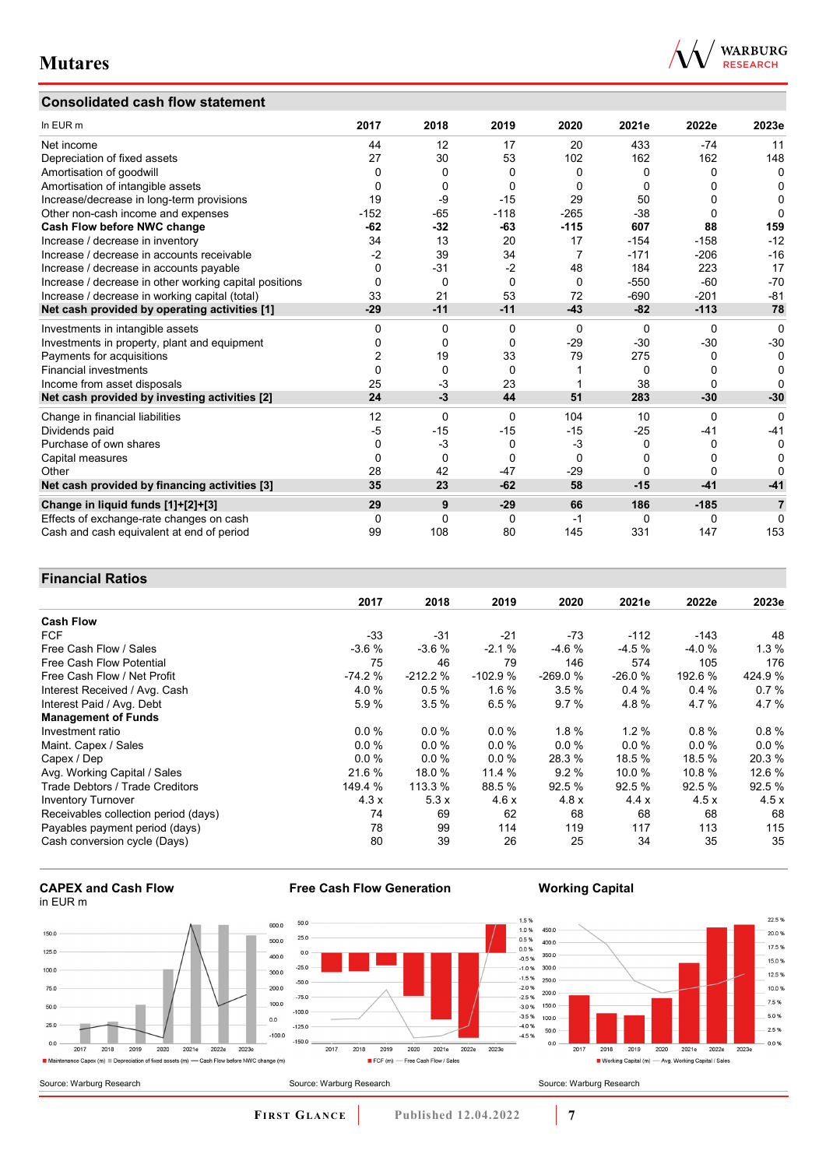## **Consolidated cash flow statement**



| In EUR m                                               | 2017     | 2018     | 2019     | 2020           | 2021e    | 2022e    | 2023e          |
|--------------------------------------------------------|----------|----------|----------|----------------|----------|----------|----------------|
| Net income                                             | 44       | 12       | 17       | 20             | 433      | $-74$    | 11             |
| Depreciation of fixed assets                           | 27       | 30       | 53       | 102            | 162      | 162      | 148            |
| Amortisation of goodwill                               | 0        | 0        | 0        | 0              | 0        | 0        | 0              |
| Amortisation of intangible assets                      | 0        | 0        | 0        | $\Omega$       | 0        | ŋ        | 0              |
| Increase/decrease in long-term provisions              | 19       | -9       | $-15$    | 29             | 50       | 0        | 0              |
| Other non-cash income and expenses                     | $-152$   | $-65$    | $-118$   | $-265$         | $-38$    | 0        | O              |
| Cash Flow before NWC change                            | $-62$    | $-32$    | $-63$    | $-115$         | 607      | 88       | 159            |
| Increase / decrease in inventory                       | 34       | 13       | 20       | 17             | $-154$   | $-158$   | $-12$          |
| Increase / decrease in accounts receivable             | $-2$     | 39       | 34       | $\overline{7}$ | $-171$   | $-206$   | $-16$          |
| Increase / decrease in accounts payable                | 0        | $-31$    | $-2$     | 48             | 184      | 223      | 17             |
| Increase / decrease in other working capital positions | 0        | 0        | $\Omega$ | $\Omega$       | $-550$   | $-60$    | $-70$          |
| Increase / decrease in working capital (total)         | 33       | 21       | 53       | 72             | $-690$   | $-201$   | $-81$          |
| Net cash provided by operating activities [1]          | $-29$    | $-11$    | $-11$    | $-43$          | $-82$    | $-113$   | 78             |
| Investments in intangible assets                       | 0        | 0        | $\Omega$ | $\Omega$       | $\Omega$ | $\Omega$ | $\mathbf{0}$   |
| Investments in property, plant and equipment           | 0        | 0        | 0        | $-29$          | $-30$    | $-30$    | $-30$          |
| Payments for acquisitions                              | 2        | 19       | 33       | 79             | 275      | 0        | $\Omega$       |
| <b>Financial investments</b>                           | $\Omega$ | $\Omega$ | $\Omega$ |                | 0        | ŋ        | 0              |
| Income from asset disposals                            | 25       | $-3$     | 23       |                | 38       | $\Omega$ | O              |
| Net cash provided by investing activities [2]          | 24       | $-3$     | 44       | 51             | 283      | $-30$    | $-30$          |
| Change in financial liabilities                        | 12       | 0        | $\Omega$ | 104            | 10       | 0        | 0              |
| Dividends paid                                         | -5       | $-15$    | $-15$    | $-15$          | $-25$    | $-41$    | $-41$          |
| Purchase of own shares                                 | 0        | $-3$     | 0        | $-3$           | 0        | 0        | 0              |
| Capital measures                                       | 0        | 0        | $\Omega$ | $\Omega$       | $\Omega$ | ŋ        | 0              |
| Other                                                  | 28       | 42       | $-47$    | $-29$          | $\Omega$ | 0        | 0              |
| Net cash provided by financing activities [3]          | 35       | 23       | $-62$    | 58             | $-15$    | $-41$    | $-41$          |
| Change in liquid funds [1]+[2]+[3]                     | 29       | 9        | $-29$    | 66             | 186      | $-185$   | $\overline{7}$ |
| Effects of exchange-rate changes on cash               | 0        | 0        | 0        | -1             | 0        | 0        | 0              |
| Cash and cash equivalent at end of period              | 99       | 108      | 80       | 145            | 331      | 147      | 153            |

## **Financial Ratios**

|                                      | 2017     | 2018      | 2019      | 2020      | 2021e    | 2022e   | 2023e   |
|--------------------------------------|----------|-----------|-----------|-----------|----------|---------|---------|
| <b>Cash Flow</b>                     |          |           |           |           |          |         |         |
| <b>FCF</b>                           | $-33$    | $-31$     | $-21$     | $-73$     | $-112$   | $-143$  | 48      |
| Free Cash Flow / Sales               | $-3.6%$  | $-3.6%$   | $-2.1%$   | $-4.6%$   | $-4.5%$  | $-4.0%$ | 1.3%    |
| Free Cash Flow Potential             | 75       | 46        | 79        | 146       | 574      | 105     | 176     |
| Free Cash Flow / Net Profit          | $-74.2%$ | $-212.2%$ | $-102.9%$ | $-269.0%$ | $-26.0%$ | 192.6 % | 424.9%  |
| Interest Received / Avg. Cash        | 4.0%     | 0.5%      | 1.6%      | 3.5%      | 0.4%     | 0.4%    | 0.7%    |
| Interest Paid / Avg. Debt            | 5.9%     | 3.5%      | 6.5%      | 9.7%      | 4.8%     | 4.7%    | 4.7%    |
| <b>Management of Funds</b>           |          |           |           |           |          |         |         |
| Investment ratio                     | $0.0\%$  | $0.0\%$   | $0.0\%$   | 1.8%      | 1.2%     | 0.8%    | 0.8%    |
| Maint. Capex / Sales                 | $0.0\%$  | $0.0\%$   | $0.0\%$   | $0.0 \%$  | 0.0%     | $0.0\%$ | $0.0\%$ |
| Capex / Dep                          | $0.0\%$  | $0.0\%$   | $0.0\%$   | 28.3 %    | 18.5 %   | 18.5 %  | 20.3%   |
| Avg. Working Capital / Sales         | 21.6 %   | 18.0 %    | 11.4 %    | 9.2%      | 10.0%    | 10.8%   | 12.6 %  |
| Trade Debtors / Trade Creditors      | 149.4 %  | 113.3 %   | 88.5 %    | 92.5 %    | 92.5 %   | 92.5 %  | 92.5%   |
| <b>Inventory Turnover</b>            | 4.3x     | 5.3x      | 4.6x      | 4.8x      | 4.4x     | 4.5x    | 4.5x    |
| Receivables collection period (days) | 74       | 69        | 62        | 68        | 68       | 68      | 68      |
| Payables payment period (days)       | 78       | 99        | 114       | 119       | 117      | 113     | 115     |
| Cash conversion cycle (Days)         | 80       | 39        | 26        | 25        | 34       | 35      | 35      |

#### **CAPEX and Cash Flow** in EUR m



### **Free Cash Flow Generation**

 $\frac{1}{2019}$ 

FCF (m) - Free Cash Flow / Sales

2018

## **Working Capital**



 $\frac{1}{2017}$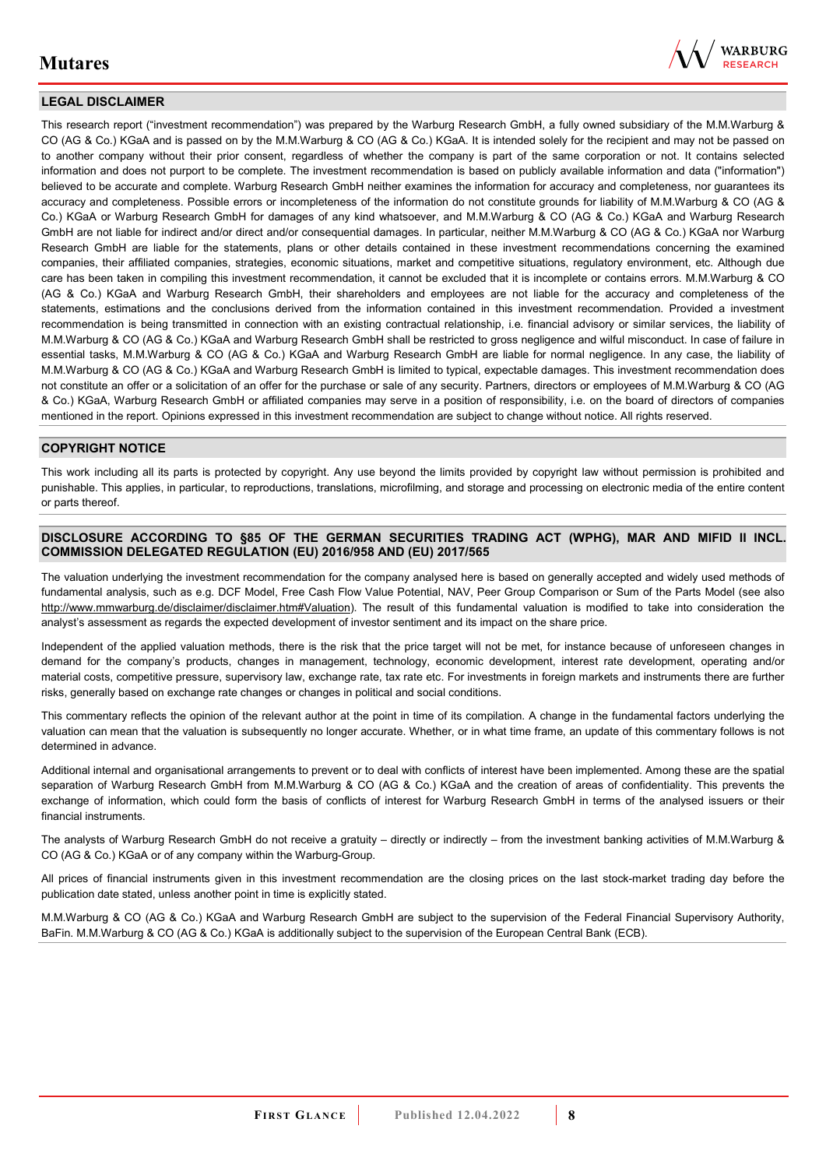

## **LEGAL DISCLAIMER**

This research report ("investment recommendation") was prepared by the Warburg Research GmbH, a fully owned subsidiary of the M.M.Warburg & CO (AG & Co.) KGaA and is passed on by the M.M.Warburg & CO (AG & Co.) KGaA. It is intended solely for the recipient and may not be passed on to another company without their prior consent, regardless of whether the company is part of the same corporation or not. It contains selected information and does not purport to be complete. The investment recommendation is based on publicly available information and data ("information") believed to be accurate and complete. Warburg Research GmbH neither examines the information for accuracy and completeness, nor guarantees its accuracy and completeness. Possible errors or incompleteness of the information do not constitute grounds for liability of M.M.Warburg & CO (AG & Co.) KGaA or Warburg Research GmbH for damages of any kind whatsoever, and M.M.Warburg & CO (AG & Co.) KGaA and Warburg Research GmbH are not liable for indirect and/or direct and/or consequential damages. In particular, neither M.M.Warburg & CO (AG & Co.) KGaA nor Warburg Research GmbH are liable for the statements, plans or other details contained in these investment recommendations concerning the examined companies, their affiliated companies, strategies, economic situations, market and competitive situations, regulatory environment, etc. Although due care has been taken in compiling this investment recommendation, it cannot be excluded that it is incomplete or contains errors. M.M.Warburg & CO (AG & Co.) KGaA and Warburg Research GmbH, their shareholders and employees are not liable for the accuracy and completeness of the statements, estimations and the conclusions derived from the information contained in this investment recommendation. Provided a investment recommendation is being transmitted in connection with an existing contractual relationship, i.e. financial advisory or similar services, the liability of M.M.Warburg & CO (AG & Co.) KGaA and Warburg Research GmbH shall be restricted to gross negligence and wilful misconduct. In case of failure in essential tasks, M.M.Warburg & CO (AG & Co.) KGaA and Warburg Research GmbH are liable for normal negligence. In any case, the liability of M.M.Warburg & CO (AG & Co.) KGaA and Warburg Research GmbH is limited to typical, expectable damages. This investment recommendation does not constitute an offer or a solicitation of an offer for the purchase or sale of any security. Partners, directors or employees of M.M.Warburg & CO (AG & Co.) KGaA, Warburg Research GmbH or affiliated companies may serve in a position of responsibility, i.e. on the board of directors of companies mentioned in the report. Opinions expressed in this investment recommendation are subject to change without notice. All rights reserved.

### **COPYRIGHT NOTICE**

This work including all its parts is protected by copyright. Any use beyond the limits provided by copyright law without permission is prohibited and punishable. This applies, in particular, to reproductions, translations, microfilming, and storage and processing on electronic media of the entire content or parts thereof.

#### **DISCLOSURE ACCORDING TO §85 OF THE GERMAN SECURITIES TRADING ACT (WPHG), MAR AND MIFID II INCL. COMMISSION DELEGATED REGULATION (EU) 2016/958 AND (EU) 2017/565**

The valuation underlying the investment recommendation for the company analysed here is based on generally accepted and widely used methods of fundamental analysis, such as e.g. DCF Model, Free Cash Flow Value Potential, NAV, Peer Group Comparison or Sum of the Parts Model (see also [http://www.mmwarburg.de/disclaimer/disclaimer.htm#Valuation\)](http://www.mmwarburg.de/disclaimer/disclaimer.htm#Valuation). The result of this fundamental valuation is modified to take into consideration the analyst's assessment as regards the expected development of investor sentiment and its impact on the share price.

Independent of the applied valuation methods, there is the risk that the price target will not be met, for instance because of unforeseen changes in demand for the company's products, changes in management, technology, economic development, interest rate development, operating and/or material costs, competitive pressure, supervisory law, exchange rate, tax rate etc. For investments in foreign markets and instruments there are further risks, generally based on exchange rate changes or changes in political and social conditions.

This commentary reflects the opinion of the relevant author at the point in time of its compilation. A change in the fundamental factors underlying the valuation can mean that the valuation is subsequently no longer accurate. Whether, or in what time frame, an update of this commentary follows is not determined in advance.

Additional internal and organisational arrangements to prevent or to deal with conflicts of interest have been implemented. Among these are the spatial separation of Warburg Research GmbH from M.M.Warburg & CO (AG & Co.) KGaA and the creation of areas of confidentiality. This prevents the exchange of information, which could form the basis of conflicts of interest for Warburg Research GmbH in terms of the analysed issuers or their financial instruments.

The analysts of Warburg Research GmbH do not receive a gratuity – directly or indirectly – from the investment banking activities of M.M.Warburg & CO (AG & Co.) KGaA or of any company within the Warburg-Group.

All prices of financial instruments given in this investment recommendation are the closing prices on the last stock-market trading day before the publication date stated, unless another point in time is explicitly stated.

M.M.Warburg & CO (AG & Co.) KGaA and Warburg Research GmbH are subject to the supervision of the Federal Financial Supervisory Authority, BaFin. M.M.Warburg & CO (AG & Co.) KGaA is additionally subject to the supervision of the European Central Bank (ECB).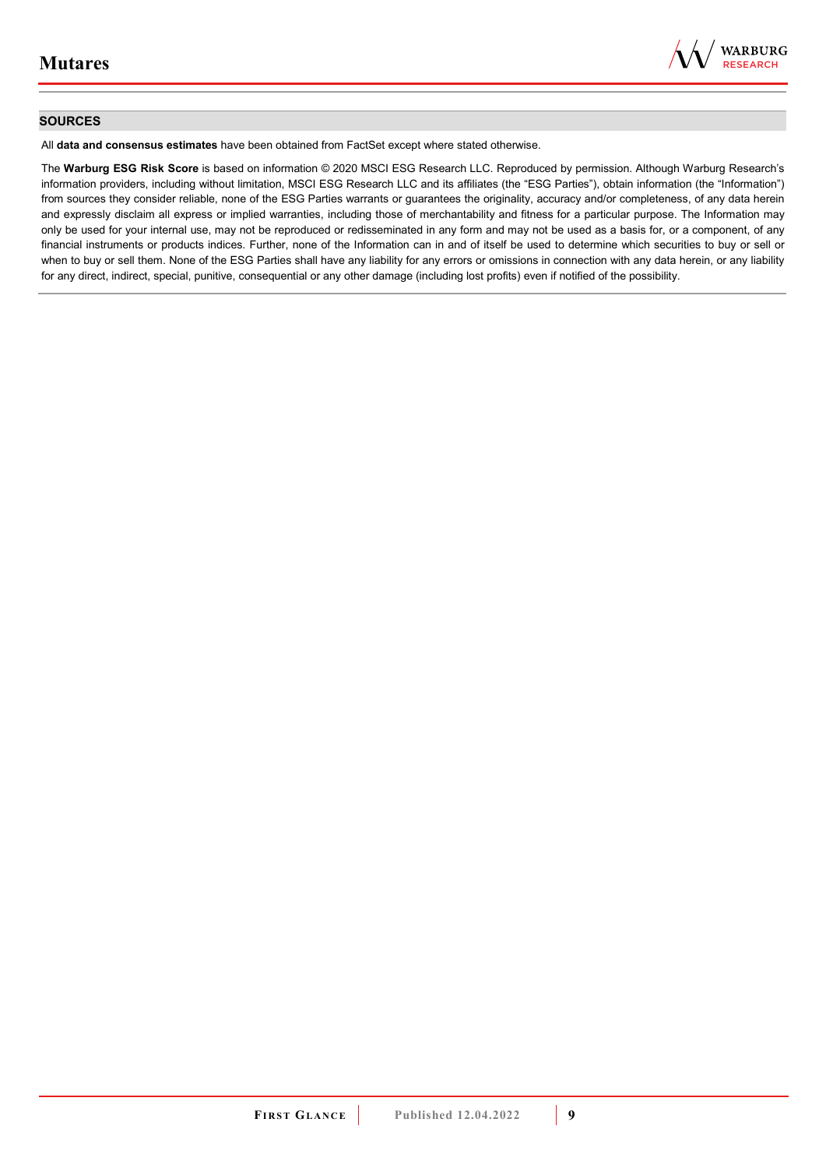

### **SOURCES**

All **data and consensus estimates** have been obtained from FactSet except where stated otherwise.

The **Warburg ESG Risk Score** is based on information © 2020 MSCI ESG Research LLC. Reproduced by permission. Although Warburg Research's information providers, including without limitation, MSCI ESG Research LLC and its affiliates (the "ESG Parties"), obtain information (the "Information") from sources they consider reliable, none of the ESG Parties warrants or guarantees the originality, accuracy and/or completeness, of any data herein and expressly disclaim all express or implied warranties, including those of merchantability and fitness for a particular purpose. The Information may only be used for your internal use, may not be reproduced or redisseminated in any form and may not be used as a basis for, or a component, of any financial instruments or products indices. Further, none of the Information can in and of itself be used to determine which securities to buy or sell or when to buy or sell them. None of the ESG Parties shall have any liability for any errors or omissions in connection with any data herein, or any liability for any direct, indirect, special, punitive, consequential or any other damage (including lost profits) even if notified of the possibility.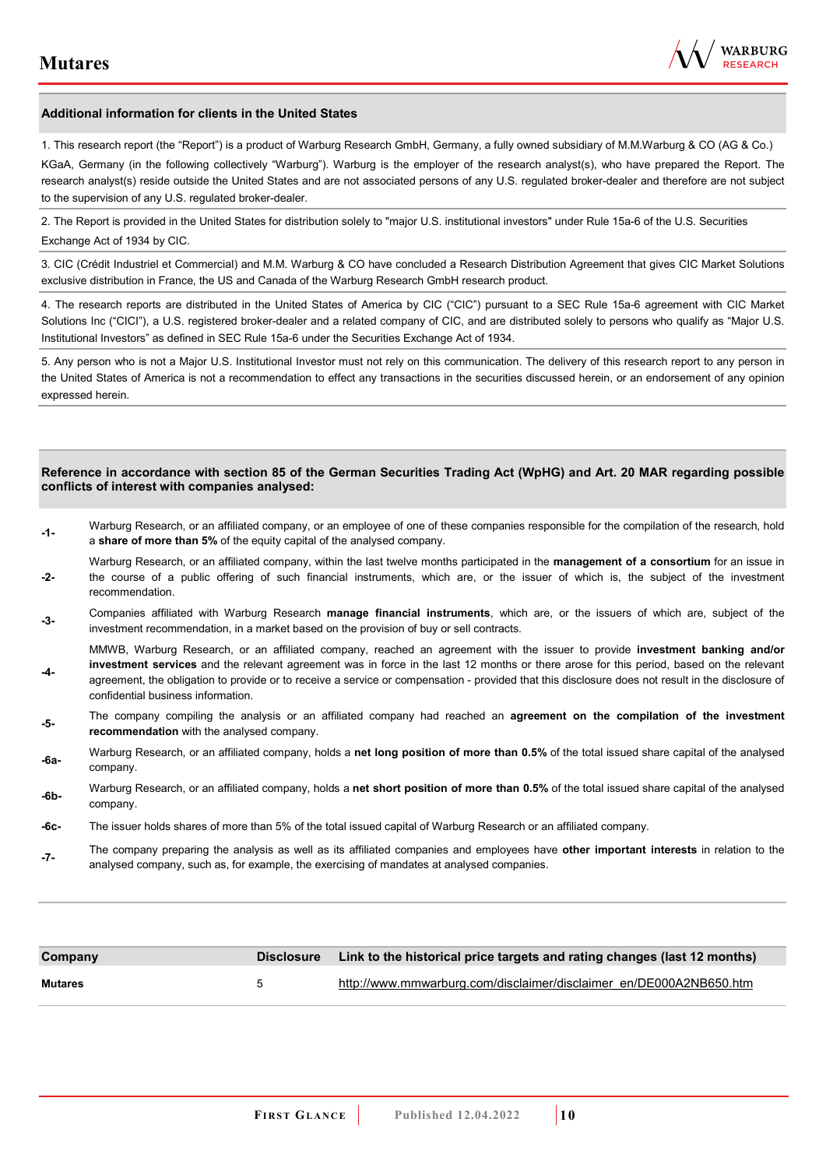

#### **Additional information for clients in the United States**

1. This research report (the "Report") is a product of Warburg Research GmbH, Germany, a fully owned subsidiary of M.M.Warburg & CO (AG & Co.)

KGaA, Germany (in the following collectively "Warburg"). Warburg is the employer of the research analyst(s), who have prepared the Report. The research analyst(s) reside outside the United States and are not associated persons of any U.S. regulated broker-dealer and therefore are not subject to the supervision of any U.S. regulated broker-dealer.

2. The Report is provided in the United States for distribution solely to "major U.S. institutional investors" under Rule 15a-6 of the U.S. Securities Exchange Act of 1934 by CIC.

3. CIC (Crédit Industriel et Commercial) and M.M. Warburg & CO have concluded a Research Distribution Agreement that gives CIC Market Solutions exclusive distribution in France, the US and Canada of the Warburg Research GmbH research product.

4. The research reports are distributed in the United States of America by CIC ("CIC") pursuant to a SEC Rule 15a-6 agreement with CIC Market Solutions Inc ("CICI"), a U.S. registered broker-dealer and a related company of CIC, and are distributed solely to persons who qualify as "Major U.S. Institutional Investors" as defined in SEC Rule 15a-6 under the Securities Exchange Act of 1934.

5. Any person who is not a Major U.S. Institutional Investor must not rely on this communication. The delivery of this research report to any person in the United States of America is not a recommendation to effect any transactions in the securities discussed herein, or an endorsement of any opinion expressed herein.

#### **Reference in accordance with section 85 of the German Securities Trading Act (WpHG) and Art. 20 MAR regarding possible conflicts of interest with companies analysed:**

- **-1-** Warburg Research, or an affiliated company, or an employee of one of these companies responsible for the compilation of the research, hold a **share of more than 5%** of the equity capital of the analysed company.
- **-2-**  Warburg Research, or an affiliated company, within the last twelve months participated in the **management of a consortium** for an issue in the course of a public offering of such financial instruments, which are, or the issuer of which is, the subject of the investment recommendation.
- **-3-** Companies affiliated with Warburg Research **manage financial instruments**, which are, or the issuers of which are, subject of the investment recommendation, in a market based on the provision of buy or sell contracts.

MMWB, Warburg Research, or an affiliated company, reached an agreement with the issuer to provide **investment banking and/or investment services** and the relevant agreement was in force in the last 12 months or there arose for this period, based on the relevant

- **-4**  agreement, the obligation to provide or to receive a service or compensation - provided that this disclosure does not result in the disclosure of confidential business information.
- **-5-** The company compiling the analysis or an affiliated company had reached an **agreement on the compilation of the investment recommendation** with the analysed company.
- **-6a-** Warburg Research, or an affiliated company, holds a **net long position of more than 0.5%** of the total issued share capital of the analysed company.
- **-6b-** Warburg Research, or an affiliated company, holds a **net short position of more than 0.5%** of the total issued share capital of the analysed company.
- **-6c-** The issuer holds shares of more than 5% of the total issued capital of Warburg Research or an affiliated company.
- **-7-** The company preparing the analysis as well as its affiliated companies and employees have **other important interests** in relation to the analysed company, such as, for example, the exercising of mandates at analysed companies.

| Company        |   | Disclosure Link to the historical price targets and rating changes (last 12 months) |
|----------------|---|-------------------------------------------------------------------------------------|
| <b>Mutares</b> | h | http://www.mmwarburg.com/disclaimer/disclaimer en/DE000A2NB650.htm                  |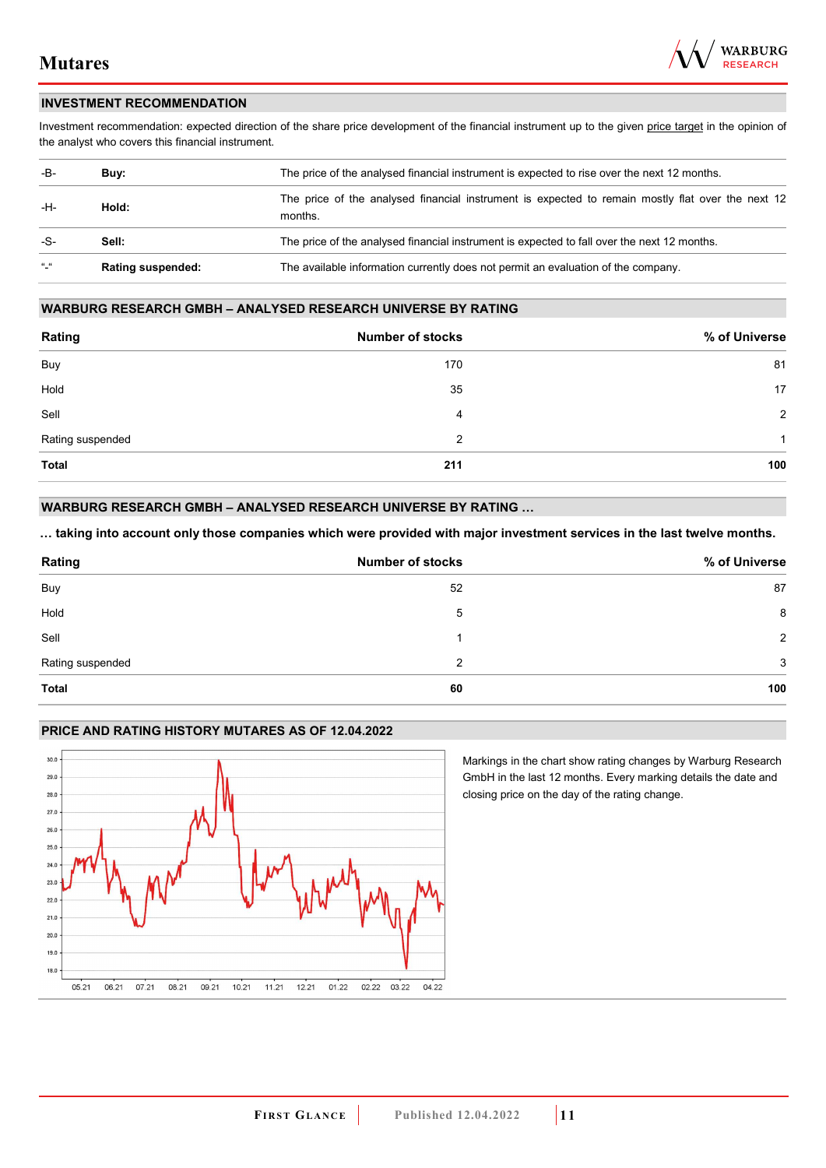

### **INVESTMENT RECOMMENDATION**

Investment recommendation: expected direction of the share price development of the financial instrument up to the given price target in the opinion of the analyst who covers this financial instrument.

| -B-             | Buy:                     | The price of the analysed financial instrument is expected to rise over the next 12 months.                  |
|-----------------|--------------------------|--------------------------------------------------------------------------------------------------------------|
| -H-             | Hold:                    | The price of the analysed financial instrument is expected to remain mostly flat over the next 12<br>months. |
| -S-             | Sell:                    | The price of the analysed financial instrument is expected to fall over the next 12 months.                  |
| $\frac{16}{16}$ | <b>Rating suspended:</b> | The available information currently does not permit an evaluation of the company.                            |

#### **WARBURG RESEARCH GMBH – ANALYSED RESEARCH UNIVERSE BY RATING**

| Rating           | <b>Number of stocks</b> | % of Universe  |
|------------------|-------------------------|----------------|
| Buy              | 170                     | 81             |
| Hold             | 35                      | 17             |
| Sell             | 4                       | $\overline{2}$ |
| Rating suspended | 2                       | 1              |
| <b>Total</b>     | 211                     | 100            |

## **WARBURG RESEARCH GMBH – ANALYSED RESEARCH UNIVERSE BY RATING …**

**… taking into account only those companies which were provided with major investment services in the last twelve months.** 

| Rating           | <b>Number of stocks</b> | % of Universe |
|------------------|-------------------------|---------------|
| Buy              | 52                      | 87            |
| Hold             | 5                       | 8             |
| Sell             |                         | 2             |
| Rating suspended | 2                       | 3             |
| Total            | 60                      | 100           |

## **PRICE AND RATING HISTORY MUTARES AS OF 12.04.2022**



Markings in the chart show rating changes by Warburg Research GmbH in the last 12 months. Every marking details the date and closing price on the day of the rating change.